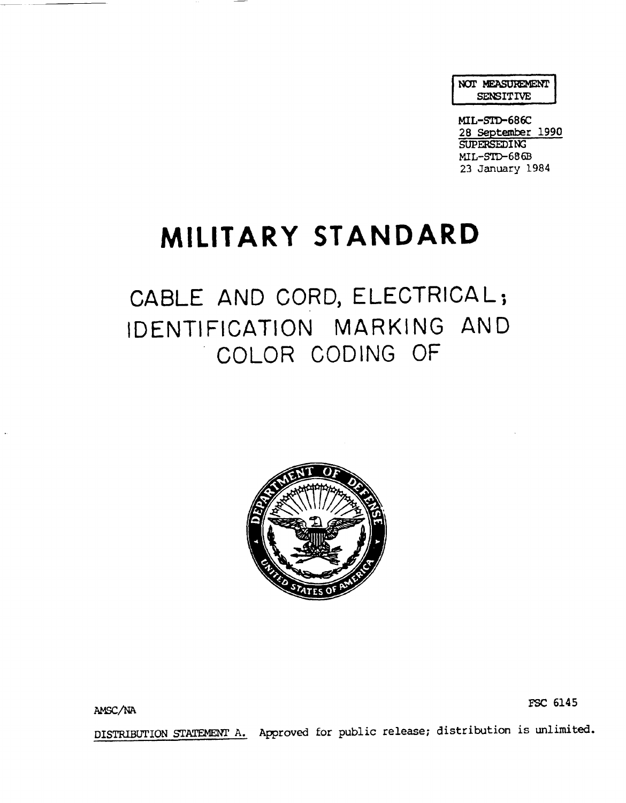NOT MEASUREMENT SENSITIVE

MIL-STD-686C 28 September 1990 **SUPERSEDING**  $ML-STD-686B$ 23 January 1984

## **MILITARY STANDARD**

## CABLE AND CORD, ELECTRICAL; IDENTIFICATION MARKING AND COLOR CODING OF



AMsc/NA FSC <sup>6145</sup>

DISTRIBUTION STATEMENT A. Approved for public release; distribution is unlimited.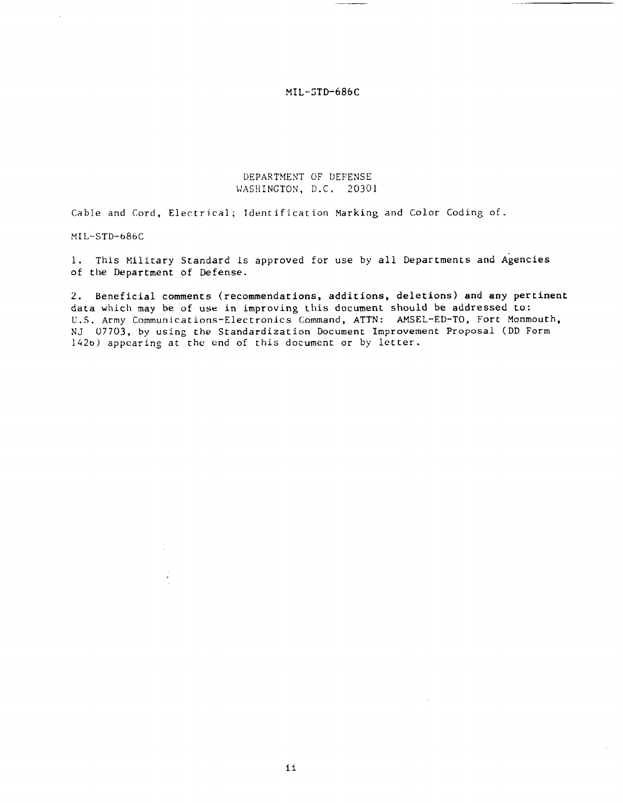## DEPARTMENT OF DEFENSE WASHINGTON, D.C. 20301

Cable and Cord, Electrical; Identification Marking and Color Coding of.

MIL-STD-686C

1. This Nilitary Standard is approved for use by all Departments and Agencies of the Department of Defense.

2. Beneficial comments (recommendations, additions, deletions) and any pertinent data which may be of use in improving this document should be addressed to: U.S. Army Communications-Electronics Command, ATTN: AMSEL-ED-TO, Fort Monmouth, NJ 07703, by using the Standardization Document Improvement Proposal (DD Form 142G) appearing at the cnd of this document or by letter.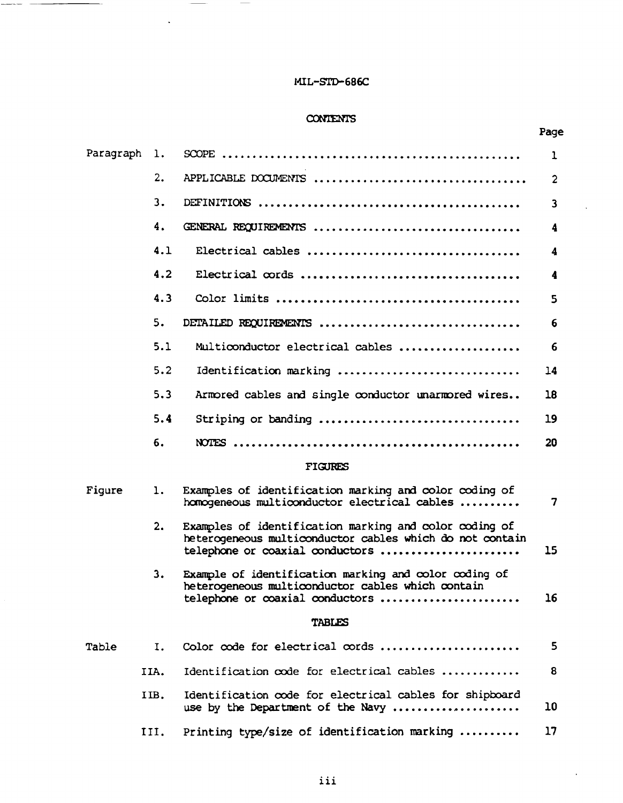## **CONTENTS**

|           |      |                                                                                                                                                       | Page           |
|-----------|------|-------------------------------------------------------------------------------------------------------------------------------------------------------|----------------|
| Paragraph | ı.   |                                                                                                                                                       | 1              |
|           | 2.   |                                                                                                                                                       | $\overline{c}$ |
|           | 3.   |                                                                                                                                                       | 3              |
|           | 4.   | GENERAL REQUIREMENTS                                                                                                                                  | 4              |
|           | 4.1  | Electrical cables                                                                                                                                     | 4              |
|           | 4.2  |                                                                                                                                                       | 4              |
|           | 4.3  |                                                                                                                                                       | 5              |
|           | 5.   | DETAILED REQUIREMENTS                                                                                                                                 | 6              |
|           | 5.1  | Multiconductor electrical cables                                                                                                                      | 6              |
|           | 5.2  | Identification marking                                                                                                                                | 14             |
|           | 5.3  | Armored cables and single conductor unarmored wires                                                                                                   | 18             |
|           | 5.4  | Striping or banding                                                                                                                                   | 19             |
|           | 6.   |                                                                                                                                                       | 20             |
|           |      | <b>FIGURES</b>                                                                                                                                        |                |
| Figure    | 1.   | Examples of identification marking and color coding of<br>homogeneous multiconductor electrical cables                                                | $\overline{7}$ |
|           | 2.   | Examples of identification marking and color coding of<br>heterogeneous multiconductor cables which do not contain<br>telephone or coaxial conductors | 15             |
|           | З.   | Example of identification marking and color coding of<br>heterogeneous multiconductor cables which contain<br>telephone or coaxial conductors         | 16             |
|           |      | TABLES                                                                                                                                                |                |
| Table     | Ι.   | Color code for electrical cords                                                                                                                       | 5              |
|           | IIA. | Identification code for electrical cables                                                                                                             | 8              |
|           | IIB. | Identification code for electrical cables for shipboard<br>use by the Department of the Navy                                                          | 10             |
|           | III. | Printing type/size of identification marking                                                                                                          | 17             |

 $\mathcal{A}$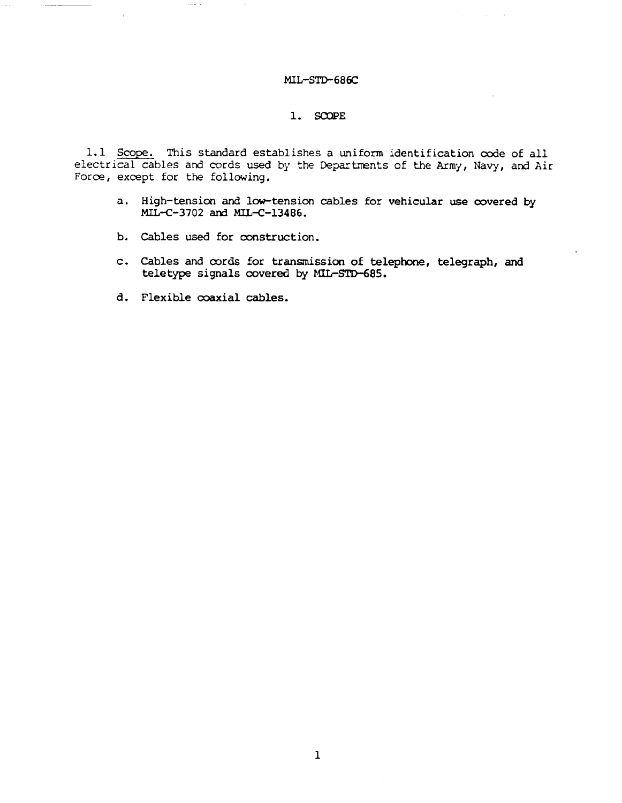## 1. SCQPE

1.1 Scope. This standard establishes a uniform identification code of all electrical cables and cords used by the Departments of the Army, Navy, and Air Force, except for the following.

- a. High-tension and low-tension cables for vehicular use covered by MIL-C-3702 and MIL-C-13486.
- b. Cables used for construction.
- c. Cables and cords for transmission of telephone, telegraph, and teletype signals covered by MIL-STD-685.
- d. Flexible coaxial cables.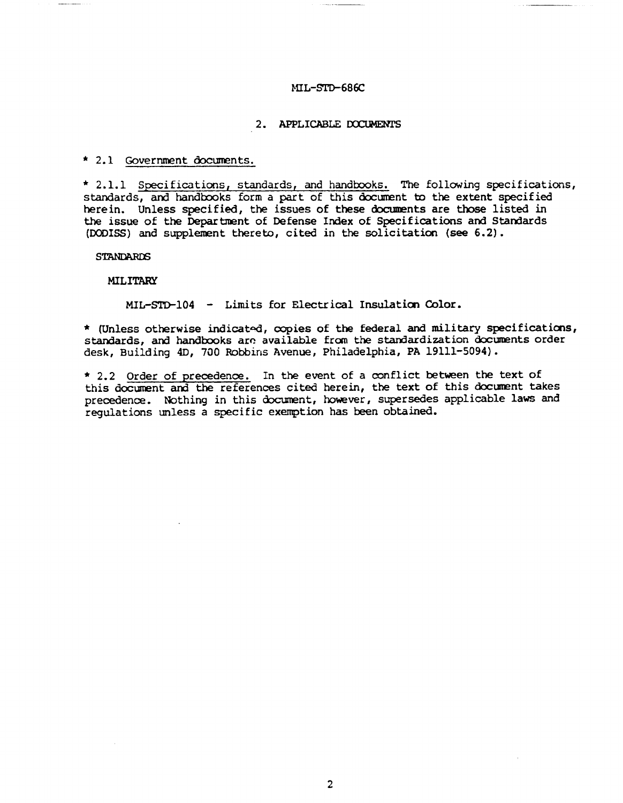## 2. APPLICABLE DOCUMENTS

## \* 2.1 Government documents.

\* 2.1.1 Specifications, standards, and handbooks. The following specifications, standards, and handbooks form a part of this document to the extent specified herein. Unless specified, the issues of these documents are those listed in the issue of the Department of Defense Index of Specifications and Standards (DODISS) and supplement thereto, cited in the solicitation (see 6.2).

**STANDARDS** 

**MILITARY** 

MIL-STD-104 - Limits for Electrical Insulation Color.

\* (Unless otherwise indicated, copies of the federal and military specifications, standards, and handbooks are available from the standardization documents order desk, Building 4D, 700 Robbins Avenue, Philadelphia, PA 19111-5094).

\* 2.2 Order of precedence. In the event of a conflict between the text of this document and the references cited herein, the text of this document takes precedence. Nothing in this document, however, supersedes applicable laws and requlations unless a specific exemption has been obtained.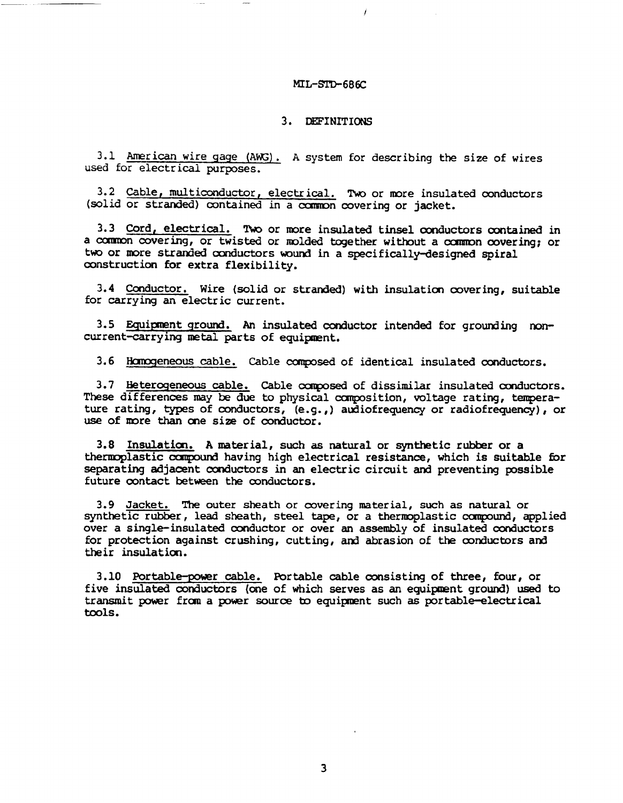## 3. DEFINITIONS

3.1 American wire gage (AWG). A system for describing the size of wires used for electrical purposes.

3.2 Cable, multiconductor, electrical. Two or more insulated conductors (solid or stranded) contained in a common covering or jacket.

3.3 Cord, electrical. Two or more insulated tinsel conductors contained in a common covering, or twisted or molded together without a common covering; or two or more stranded conductors wound in a specifically-designed spiral construction for extra flexibility.

3.4 Conductor, Wire (solid or stranded) with insulation covering, suitable for carrying an electric current.

3.5 Equipment ground. An insulated conductor intended for grounding noncurrent-carrying metal parts of equipment.

3.6 Homogeneous cable. Cable composed of identical insulated conductors.

3.7 Heterogeneous cable. Cable composed of dissimilar insulated conductors.<br>These differences may be due to physical composition, voltage rating, temperature rating, types of conductors, (e.g.,) audiofrequency or radiofrequency), or use of more than one size of conductor.

3.8 Insulation. A material, such as natural or synthetic rubber or a thermoplastic compound having high electrical resistance, which is suitable for separating adjacent conductors in an electric circuit and preventing possible future contact between the conductors.

3.9 Jacket. The outer sheath or covering material, such as natural or synthetic rubber, lead sheath, steel tape, or a thermoplastic compound, applied over a single-insulated conductor or over an assembly of insulated conductors for protection against crushing, cutting, and abrasion of the conductors and their insulation.

3.10 Portable-power cable. Portable cable consisting of three, four, or five insulated conductors (one of which serves as an equipment ground) used to transmit power from a power source to equipment such as portable-electrical tools.

 $\overline{\mathbf{3}}$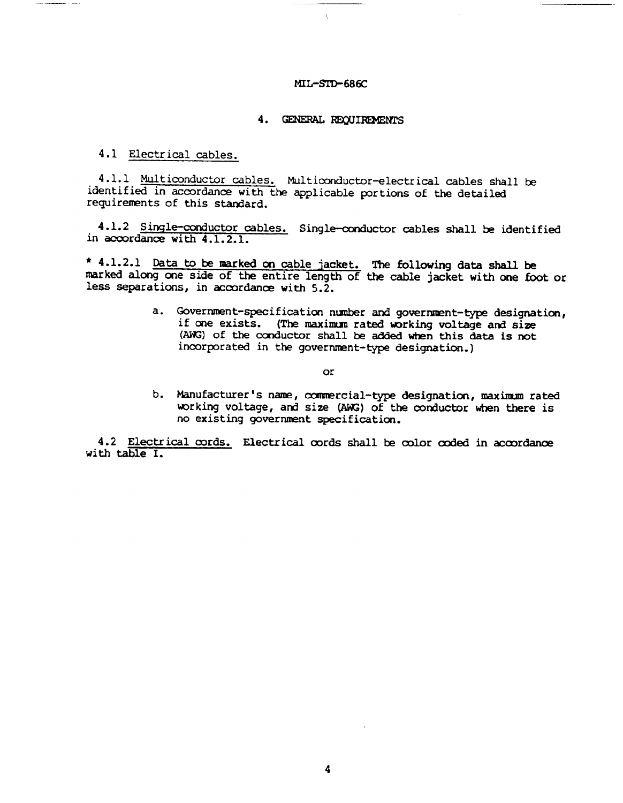#### 4. GENERAL REQUIREMENTS

4.1 Electrical cables.

4.1.1 Multiconductor cables. Multiconductor-electrical cables shall be identified in accordance with the applicable portions of the detailed requirements of this standard.

4.1.2 Single-conductor cables. Single-conductor cables shall be identified in accordance with 4.1.2.1.

\* 4.1.2.1 Data to be marked on cable jacket. The following data shall be marked along one side of the entire length of the cable jacket with one foot or less separations, in accordance with 5.2.

> a. Government-specification number and government-type designation, if one exists. (The maximum rated working voltage and size (AWG) of the conductor shall be added when this data is not incorporated in the government-type designation.)

> > **or**

b. Manufacturer's name, commercial-type designation, maximum rated working voltage, and size (AWG) of the conductor when there is no existing government specification.

4.2 Electrical cords. Electrical cords shall be color coded in accordance with table I.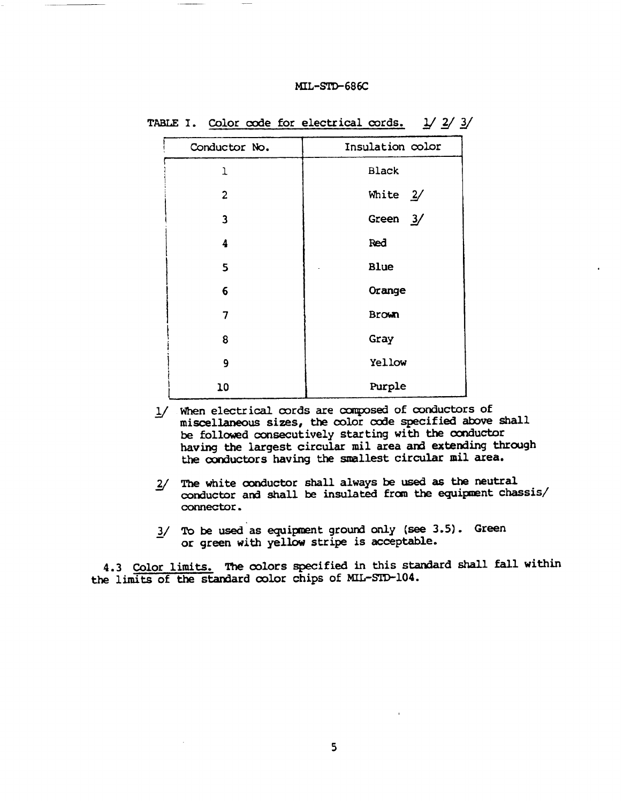| Conductor No.  | Insulation color |
|----------------|------------------|
| 1              | <b>Black</b>     |
| $\overline{c}$ | White $2/$       |
| 3              | Green $3/$       |
| 4              | Red              |
| 5              | <b>Blue</b>      |
| 6              | Orange           |
| 7              | <b>Brown</b>     |
| 8              | Gray             |
| 9              | Yellow           |
| 10             | Purple           |

|  |  | TABLE I. Color code for electrical cords. $1/2/3/$ |  |  |  |
|--|--|----------------------------------------------------|--|--|--|
|  |  |                                                    |  |  |  |

- 1/ When electrical cords are composed of conductors of miscellaneous sizes, the color code specified above shall be followed consecutively starting with the conductor having the largest circular mil area and extending through the conductors having the smallest circular mil area.
- 2/ The white conductor shall always be used as the neutral conductor and shall be insulated from the equipment chassis/ connector.
- 3/ To be used as equipment ground only (see 3.5). Green or green with yellow stripe is acceptable.

4.3 Color limits. The colors specified in this standard shall fall within the limits of the standard color chips of ML-STD-104.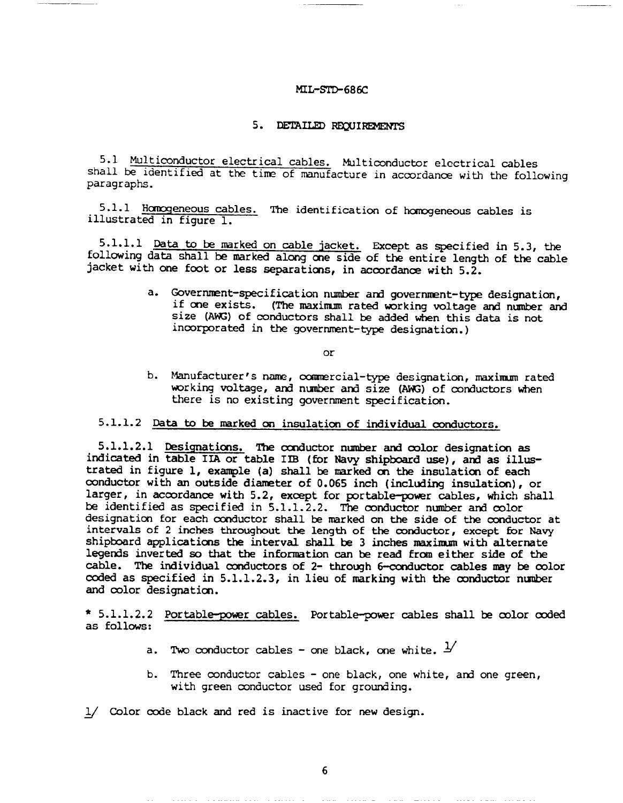#### MIL-S'K)-686C

#### 5. DETAILED REQUIREMENTS

5.1 Multiconductor electrical cables. Multiconductor electrical cables shall be identified at the time of manufacture in accordance with the following paragraphs.

5.1.1 Homogeneous cables. The identification of homogeneous cables is illustrated in figure 1.

5.1.1.1 Data to be marked on cable jacket. Except as specified in 5.3, the following data shall be marked along one side of the entire length of the cable jacket with one foot or less separations, in accordance with 5.2.

> a. Government-specification number and government-type designation, if one exists. (The maximum rated working voltage and number and size (AWG) of conductors shall be added when this data is not incorporated in the government-type designation.)

> > or

b. Manufacturer's name, commercial-type designation, maximum rated working voltage, and number and size (AWG) of conductors when there is no existing government specification.

5.1.1.2 Data to be marked on insulation of individual conductors.

 $5.1.1.2.1$  Designations. The conductor number and color designation as indicated in table IIA or table IIB (for Navy shipboard use), and as illusstratedin figure1, example(a)**shall be na.rked on the** insulatia of each conductor with an outside diameter of 0.065 inch (including insulation), or larger, in accordance with 5.2, except for portable-power cables, which shall be identified as specified in  $5.1.1.2.2$ . The conductor number and color designation for each conductor shall be marked on the side of the conductor at intervals of 2 inches throughout the length of the conductor, except for Navy shipboard applications the interval shall be 3 inches maximum with alternate legends inverted so that the information can be read from either side of the cable. The individual conductors of 2- through 6-conductor cables may be color coded as specified in 5.1.1.2.3, in lieu of marking with the conductor number and color designation.

 $*$  5.1.1.2.2 <u>Portable-power cables.</u> Portable-power cables shall be color coded as follws:

- a. Two conductor cables one black, one white.  $\pm$
- b. Three conductor cables one black, one white, and one green, with green conductor used for grounding.
- $1/$  Color code black and red is inactive for new design.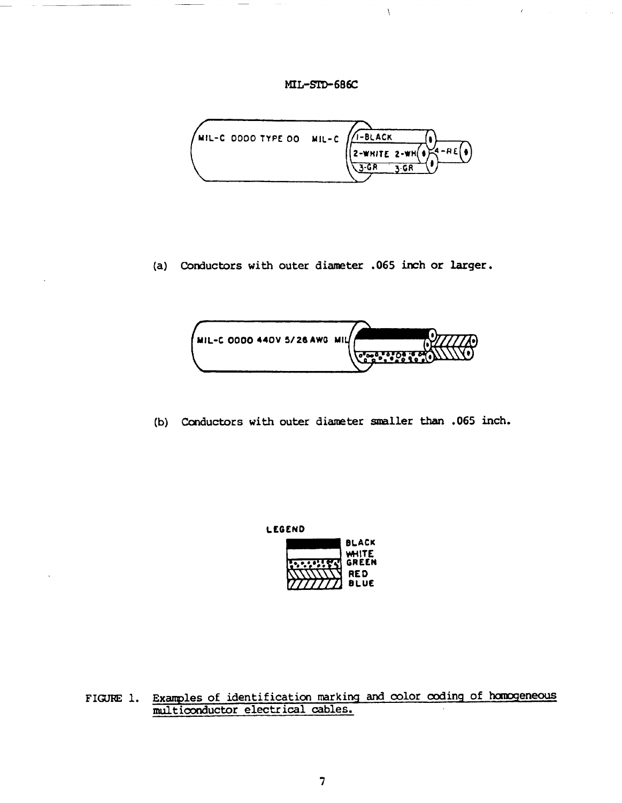

(a) Conductors with outer diameter .065 inch or larger.



(b) Conductors with outer diameter smaller than .065 inch.



FIGURE 1. Examples of identification marking and color coding of homogeneous multiconductor electrical cables.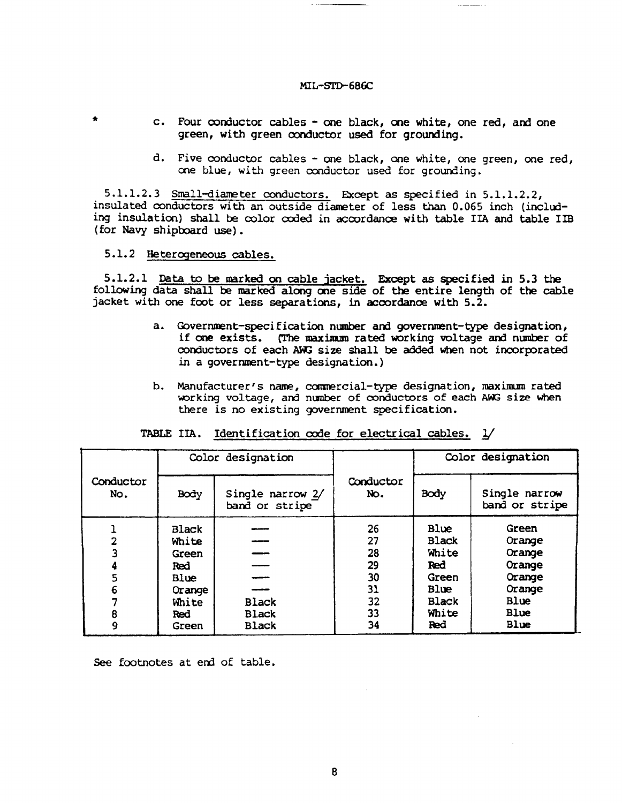- c. Four conductor cables one black, one white, one red, and one green, with green conductor used for grounding.
- d. Five conductor cables one black, one white, one green, one red, one blue, with green conductor used for grounding.

5.1.1.2.3 Small-diameter conductors. Except as specified in 5.1.1.2.2, insulated conductors with an outside diameter of less than 0.065 inch (including insulation) shall be color coded in accordance with table IIA and table IIB (for Navy shipboard use).

## 5.1.2 Heterogeneous cables.

5.1.2.1 Data to be marked on cable jacket. Except as specified in 5.3 the following data shall be marked along one side of the entire length of the cable jacket with one foot or less separations, in accordance with 5.2.

- a. Government-specification number and government-type designation, if one exists. (The maximum rated working voltage and number of conductors of each AWG size shall be added when not incorporated in a government-type designation.)
- b. Manufacturer's name, commercial-type designation, maximum rated working voltage, and number of conductors of each AWG size when there is no existing government specification.

|                                    |                                                                                         | Color designation                            |                                                    | Color designation                                                                     |                                                                                 |  |
|------------------------------------|-----------------------------------------------------------------------------------------|----------------------------------------------|----------------------------------------------------|---------------------------------------------------------------------------------------|---------------------------------------------------------------------------------|--|
| Conductor<br>No.                   | Body                                                                                    | Single narrow 2/<br>band or stripe           | Conductor<br>No.                                   | Body                                                                                  | Single narrow<br>band or stripe                                                 |  |
| $\overline{2}$<br>5<br>6<br>8<br>9 | <b>Black</b><br>White<br>Green<br>Red<br>Blue<br>Orange<br>White<br><b>Red</b><br>Green | <b>Black</b><br><b>Black</b><br><b>Black</b> | 26<br>27<br>28<br>29<br>30<br>31<br>32<br>33<br>34 | Blue<br><b>Black</b><br>White<br>Red<br>Green<br>Blue<br><b>Black</b><br>White<br>Red | Green<br>Orange<br>Orange<br>Orange<br>Orange<br>Orange<br>Blue<br>Blue<br>Blue |  |

## TABLE IIA. Identification code for electrical cables. 1/

See footnotes at end of table.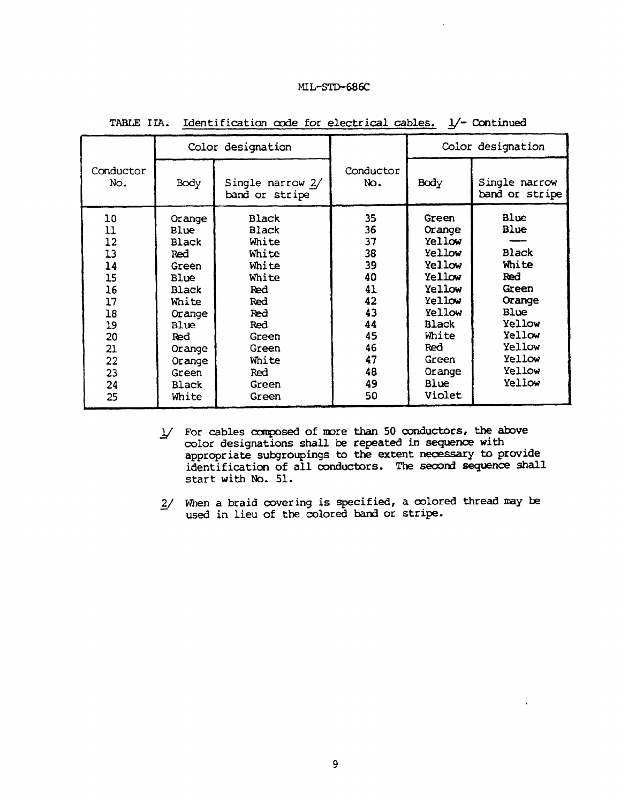|                                                                                              |                                                                                                                                                   | Color designation                                                                                                                                |                                                                                              | Color designation                                                                                                                                          |                                                                                                                                     |  |
|----------------------------------------------------------------------------------------------|---------------------------------------------------------------------------------------------------------------------------------------------------|--------------------------------------------------------------------------------------------------------------------------------------------------|----------------------------------------------------------------------------------------------|------------------------------------------------------------------------------------------------------------------------------------------------------------|-------------------------------------------------------------------------------------------------------------------------------------|--|
| Conductor<br>No.                                                                             | Body                                                                                                                                              | Single narrow 2/<br>band or stripe                                                                                                               | Conductor<br>No.                                                                             | Body                                                                                                                                                       | Single narrow<br>band or stripe                                                                                                     |  |
| 10<br>11<br>12<br>13<br>14<br>15<br>16<br>17<br>18<br>19<br>20<br>21<br>22<br>23<br>24<br>25 | Orange<br>Blue<br>Black<br>Red<br>Green<br>Blue<br>Black<br>White<br>Orange<br>Blue<br>Red.<br>Orange<br>Orange<br>Green<br><b>Black</b><br>White | <b>Black</b><br><b>Black</b><br>White<br>White<br>White<br>White<br>Red<br>Red<br>Red<br>Red<br>Green<br>Green<br>White<br>Red<br>Green<br>Green | 35<br>36<br>37<br>38<br>39<br>40<br>41<br>42<br>43<br>44<br>45<br>46<br>47<br>48<br>49<br>50 | Green<br>Orange<br>Yellow<br>Yellow<br>Yellow<br>Yellow<br>Yellow<br>Yellow<br>Yellow<br><b>Black</b><br>White<br>Red<br>Green<br>Orange<br>Blue<br>Violet | Blue<br>Blue<br><b>Black</b><br>White<br>Red<br>Green<br>Orange<br>Blue<br>Yellow<br>Yellow<br>Yellow<br>Yellow<br>Yellow<br>Yellow |  |

TABLE IIA. Identification code for electrical cables. 1/- Continued

- $\frac{1}{2}$  For cables composed of more than 50 conductors, the above color designations shall be repeated in sequence with appropriate subgroupings to the extent necessary to provide identificationof all conductors.The second*sequence shall* start with No. 51.
- $2/$  When a braid covering is specified, a colored thread may be used in lieu of the colored band or stripe.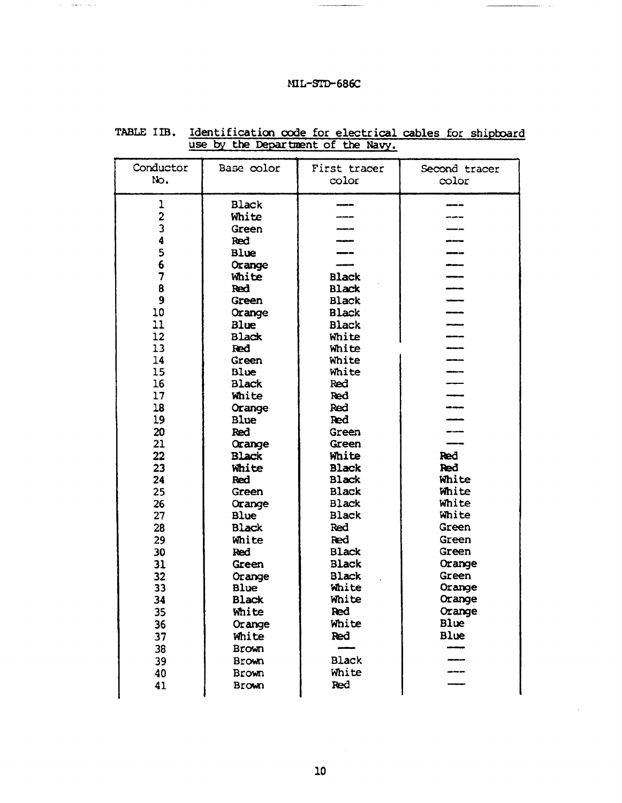| Conductor                                             | Base color                                                        | First tracer                                                                            | Second tracer                                       |
|-------------------------------------------------------|-------------------------------------------------------------------|-----------------------------------------------------------------------------------------|-----------------------------------------------------|
| No.                                                   |                                                                   | color                                                                                   | $\infty$ lor                                        |
| 1<br>$\overline{\mathbf{c}}$<br>3<br>4<br>5<br>6<br>7 | <b>Black</b><br>White<br>Green<br>Red<br>Blue<br>Orange<br>White  | <b>Black</b>                                                                            |                                                     |
| 8                                                     | Red                                                               | <b>Black</b>                                                                            | ----                                                |
| 9                                                     | Green                                                             | <b>Black</b>                                                                            |                                                     |
| 10                                                    | Orange                                                            | <b>Black</b>                                                                            |                                                     |
| 11                                                    | <b>Blue</b>                                                       | <b>Black</b>                                                                            |                                                     |
| 12                                                    | <b>Black</b>                                                      | White                                                                                   |                                                     |
| 13                                                    | Red                                                               | White                                                                                   |                                                     |
| 14                                                    | Green                                                             | White                                                                                   |                                                     |
| 15                                                    | Blue                                                              | White                                                                                   |                                                     |
| 16                                                    | <b>Black</b>                                                      | Red                                                                                     |                                                     |
| 17                                                    | White                                                             | Red                                                                                     |                                                     |
| 18                                                    | Orange                                                            | Red                                                                                     |                                                     |
| 19                                                    | Blue                                                              | Red                                                                                     |                                                     |
| 20<br>21<br>22<br>23<br>24<br>25<br>26                | Red<br>Orange<br><b>Black</b><br>White<br>Red<br>Green            | Green<br>Green<br>White<br><b>Black</b><br><b>Black</b><br><b>Black</b><br><b>Black</b> | Red<br>Red<br>White<br>White<br>White               |
| 27<br>28<br>29<br>30<br>31<br>32                      | Orange<br>Blue<br><b>Black</b><br>White<br>Red<br>Green<br>Orange | <b>Black</b><br>Red<br><b>Red</b><br><b>Black</b><br><b>Black</b><br><b>Black</b>       | White<br>Green<br>Green<br>Green<br>Orange<br>Green |
| 33                                                    | Blue                                                              | White                                                                                   | Orange                                              |
| 34                                                    | <b>Black</b>                                                      | White                                                                                   | Orange                                              |
| 35                                                    | White                                                             | Red                                                                                     | Orange                                              |
| 36                                                    | Orange                                                            | White                                                                                   | Blue                                                |
| 37                                                    | White                                                             | Red                                                                                     | <b>Blue</b>                                         |
| 38<br>39<br>40<br>41                                  | <b>Brown</b><br><b>Brown</b><br><b>Brown</b><br><b>Brown</b>      | <b>Black</b><br>White<br>Red                                                            |                                                     |

## TABLE IIB. Identification code for electrical cables for shipboard use by the Department of the Navy.

 ${\bf 10}$ 

 $\sim$   $\sim$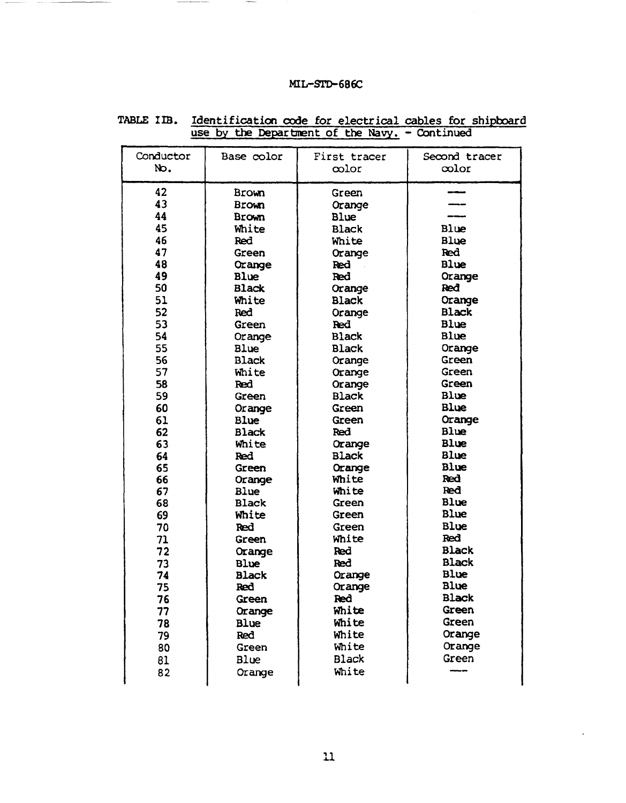| Conductor | Base color                   | First tracer | Second tracer |
|-----------|------------------------------|--------------|---------------|
| No.       |                              | $\infty$ lor | $\infty$ lor  |
|           |                              |              |               |
| 42<br>43  | <b>Brown</b><br><b>Brown</b> | Green        |               |
| 44        |                              | Orange       |               |
| 45        | <b>Brown</b>                 | Blue         | Blue          |
| 46        | White<br>Red                 | <b>Black</b> | Blue          |
| 47        |                              | White        | <b>Red</b>    |
| 48        | Green                        | Orange       | <b>Blue</b>   |
| 49        | Orange                       | Red          |               |
| 50        | <b>Blue</b>                  | Red          | Orange<br>Red |
|           | <b>Black</b>                 | Orange       |               |
| 51        | White                        | <b>Black</b> | Orange        |
| 52        | Red                          | Orange       | <b>Black</b>  |
| 53        | Green                        | <b>Red</b>   | <b>Blue</b>   |
| 54        | Orange                       | <b>Black</b> | Blue          |
| 55        | Blue                         | <b>Black</b> | Orange        |
| 56        | <b>Black</b>                 | Orange       | Green         |
| 57        | White                        | Orange       | Green         |
| 58        | Red                          | Orange       | Green         |
| 59        | Green                        | <b>Black</b> | <b>Blue</b>   |
| 60        | Orange                       | Green        | <b>Blue</b>   |
| 61        | <b>Blue</b>                  | Green        | Orange        |
| 62        | <b>Black</b>                 | Red          | Blue          |
| 63        | White                        | Orange       | <b>Blue</b>   |
| 64        | Red                          | <b>Black</b> | <b>Blue</b>   |
| 65        | Green                        | Orange       | Blue          |
| 66        | Orange                       | White        | Red           |
| 67        | Blue                         | White        | Red           |
| 68        | <b>Black</b>                 | Green        | <b>Blue</b>   |
| 69        | White                        | Green        | Blue          |
| 70        | Red                          | Green        | Blue          |
| 71        | Green                        | White        | Red           |
| 72        | Orange                       | Red          | <b>Black</b>  |
| 73        | <b>Blue</b>                  | Red          | <b>Black</b>  |
| 74        | <b>Black</b>                 | Orange       | <b>Blue</b>   |
| 75        | Red                          | Orange       | Blue          |
| 76        | Green                        | Red          | <b>Black</b>  |
| 77        | Orange                       | White        | Green         |
| 78        | <b>Blue</b>                  | White        | Green         |
| 79        | Red                          | White        | Orange        |
| 80        | Green                        | White        | Orange        |
| 81        | Blue                         | <b>Black</b> | Green         |
| 82        | Orange                       | White        |               |
|           |                              |              |               |

TABLE IIB. Identification code for electrical cables for shipboard use by the Department of the Navy. - Continued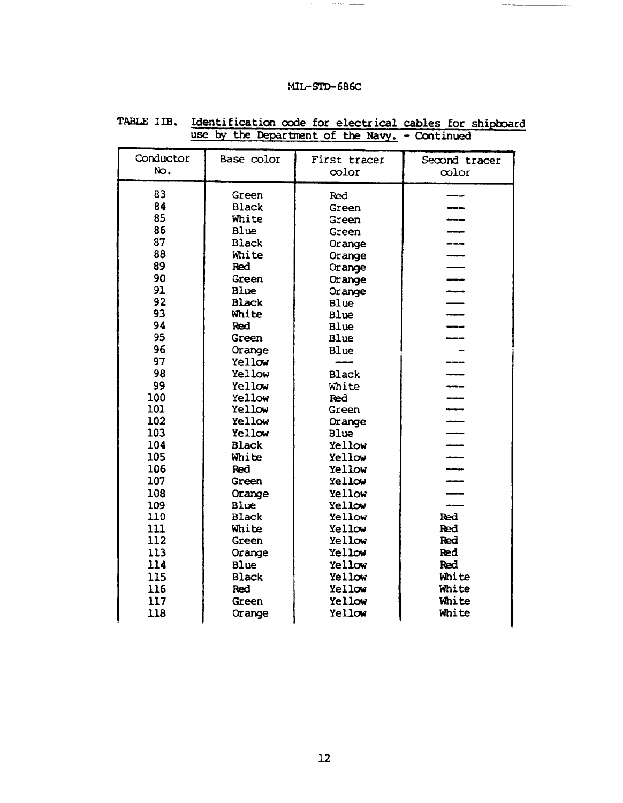| Conductor | Base color   | First tracer   | Second tracer                   |
|-----------|--------------|----------------|---------------------------------|
| No.       |              | color          | $\infty$ lor                    |
| 83        | Green        |                |                                 |
| 84        | <b>Black</b> | Red            |                                 |
| 85        | White        | Green          |                                 |
| 86        | Blue         | Green          | $\overline{\phantom{a}}$        |
| 87        | <b>Black</b> | Green          | ---                             |
| 88        | White        | Orange         |                                 |
| 89        | Red          | Orange         | ---                             |
| 90        | Green        | Orange         | ---                             |
| 91        | <b>Blue</b>  | Orange         |                                 |
| 92        | <b>Black</b> | Orange<br>Blue | $\overline{\phantom{iiiiiiii}}$ |
| 93        | White        | Blue           | $\overline{\phantom{a}}$        |
| 94        | Red          | Blue           |                                 |
| 95        | Green        | Blue           |                                 |
| 96        | Orange       | Blue           |                                 |
| 97        | Yellow       |                |                                 |
| 98        | Yellow       | <b>Black</b>   | ---                             |
| 99        | Yellow       | White          | ---                             |
| 100       | Yellow       | Red            | $\frac{1}{2}$                   |
| 101       | Yellow       | Green          | ----                            |
| 102       | Yellow       | Orange         |                                 |
| 103       | Yellow       | <b>Blue</b>    | ----                            |
| 104       | <b>Black</b> | Yellow         | $\overline{a}$                  |
| 105       | White        | Yellow         |                                 |
| 106       | Red          | Yellow         | $\overline{\phantom{a}}$        |
| 107       | Green        | Yellow         |                                 |
| 108       | Orange       | Yellow         |                                 |
| 109       | Blue         | Yellow         |                                 |
| 110       | <b>Black</b> | Yellow         | Red                             |
| 111       | White        | Yellow         | Red                             |
| 112       | Green        | Yellow         | Red                             |
| 113       | Orange       | Yellow         | Red                             |
| 114       | <b>Blue</b>  | Yellow         | Red                             |
| 115       | <b>Black</b> | Yellow         | White                           |
| 116       | <b>Red</b>   | Yellow         | White                           |
| 117       | Green        | Yellow         | White                           |
| 118       | Orange       | Yellow         | White                           |
|           |              |                |                                 |

# TABLE IIB. Identification code for electrical cables for shipboard<br>use by the Department of the Navy. - Continued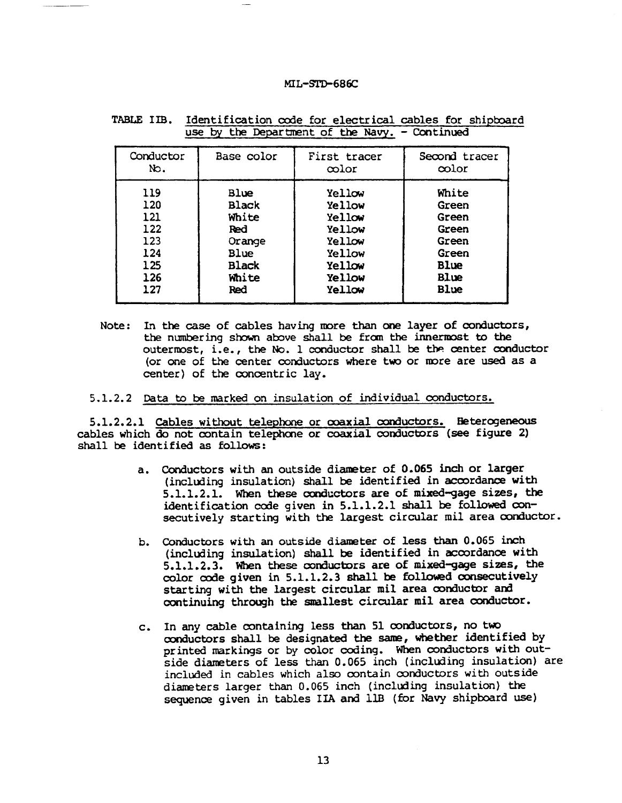| Conductor | Base color   | First tracer | Second tracer |
|-----------|--------------|--------------|---------------|
| No.       |              | ∞lor         | color         |
| 119       | Blue         | Yellow       | White         |
| 120       | <b>Black</b> | Yellow       | Green         |
| 121       | White        | Yellow       | Green         |
| 122       | Red          | Yellow       | Green         |
| 123       | Orange       | Yellow       | Green         |
| 124       | Blue         | Yellow       | Green         |
| 125       | <b>Black</b> | Yellow       | Blue          |
| 126       | White        | Yellow       | <b>Blue</b>   |
| 127       | Red          | Yellow       | Blue          |

TABLE IIB. Identification code for electrical cables for shipboard use by the Department of the Navy. - Continued

Note: In the case of cables having more than one layer of conductors, the numbering shown above shall be from the innermost to the outermost, i.e., the No. 1 conductor shall be the center conductor (or one of the center conductors where two or more are used as a center) of the concentric lay.

5.1.2.2 Data to be marked on insulation of individual conductors.

5.1.2.2.1 Cables without telephone or coaxial conductors. Heterogeneous cables which do not contain telephone or coaxial conductors (see figure 2) shall be identified as follows:

- a. Conductors with an outside diameter of 0.065 inch or larger (including insulation) shall be identified in accordance with  $5.1.1.2.1$ . When these conductors are of mixed-gage sizes, the identification code given in 5.1.1.2.1 shall be followed consecutively starting with the largest circular mil area conductor.
- b. Conductors with an outside diameter of less than 0.065 inch (including insulation) shall be identified in accordance with 5.1.1.2.3. When these conductors are of mixed-gage sizes, the color code given in 5.1.1.2.3 shall be followed consecutively starting with the largest circular mil area conductor and continuing through the smallest circular mil area conductor.
- c. In any cable containing less than 51 conductors, no two conductors shall be designated the same, whether identified by printed markings or by color coding. When conductors with outside diameters of less than 0.065 inch (including insulation) are included in cables which also contain conductors with outside diameters larger than 0.065 inch (including insulation) the sequence given in tables IIA and 11B (for Navy shipboard use)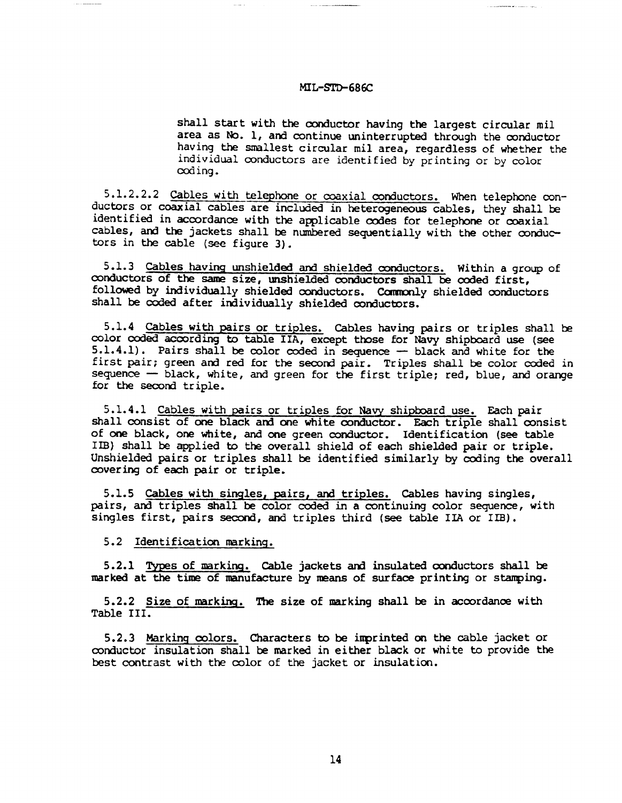shall start with the conductor having the largest circular mil area as No. 1, and continue uninterrupted through the conductor having the smallest circular mil area, regardless of whether the individual conductors are identified by printing or by color coding.

5.1.2.2.2 Cables with telephone or coaxial conductors. When telephone conductors or coaxial cables are included in heterogeneous cables, they shall be identified in accordance with the applicable codes for telephone or coaxial cables, and the jackets shall be numbered sequentially with the other conductors in the cable (see figure 3).

5.1.3 Cables having unshielded and shielded conductors. Within a group of conductors of the same size, unshielded conductors shall be coded first, followed by individually shielded conductors. Commonly shielded conductors shall be coded after individually shielded conductors.

5.1.4 Cables with pairs or triples. Cables having pairs or triples shall be color coded according to table IIA, except those for Navy shipboard use (see  $5.1.4.1$ ). Pairs shall be color coded in sequence  $-$  black and white for the first pair; green and red for the second pair. Triples shall be color coded in sequence — black, white, and green for the first triple; red, blue, and orange for the second triple.

5.1.4.1 Cables with pairs or triples for Navy shipboard use. Each pair shall consist of one black and one white conductor. Each triple shall consist of one black, one white, and one green conductor. Identification (see table IIB) shall be applied to the overall shield of each shielded pair or triple. Unshielded pairs or triples shall be identified similarly by coding the overall *covering* of each pair or triple.

5.1.5 Cableswith singles,*pairs, and* triples. Cableshavingsingles, pairs, and triples shall be color coded in a continuing color sequence, with singles first, pairs second, and triples third (see table IIA or IIB).

5.2 Identification marking.

 $5.2.1$  Types of marking. Cable jackets and insulated conductors shall be marked at the time of manufacture by means of surface printing or stamping.

5.2.2 Size of marking. The size of marking shall be in accordance with Table III.

5.2.3 Marking colors. Characters to be imprinted on the cable jacket or conductor insulation shall be marked in either black or white to provide the best contrast with the color of the jacket or insulation.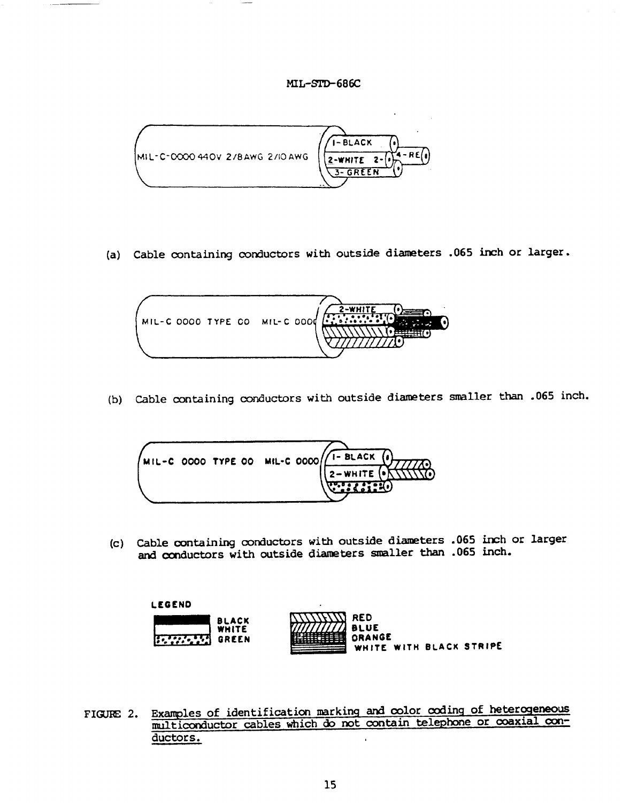

(a) Cable containing conductors with outside diameters .065 inch or larger.



(b) Cable containing conductors with outside diameters smaller than .065 inch.



(c) Cable containing conductors with outside diameters .065 inch or larger and conductors with outside diameters smaller than .065 inch.



Examples of identification marking and color coding of heterogeneous FIGURE 2. multiconductor cables which do not contain telephone or coaxial conductors.  $\mathbf{r}$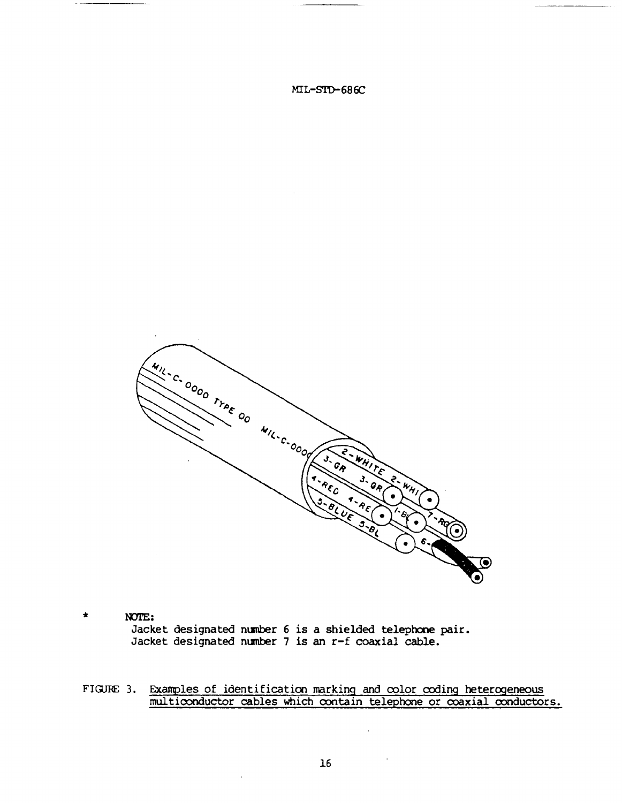

 $\star$ NOTE: Jacket designated number 6 is a shielded telephone pair. Jacket designated number 7 is an r-f coaxial cable.

 $\ddot{\phantom{a}}$ 

FIGURE 3. Examples of identification marking and color coding heterogeneous multiconductor cables which contain telephone or coaxial conductors.

 $\overline{\phantom{a}}$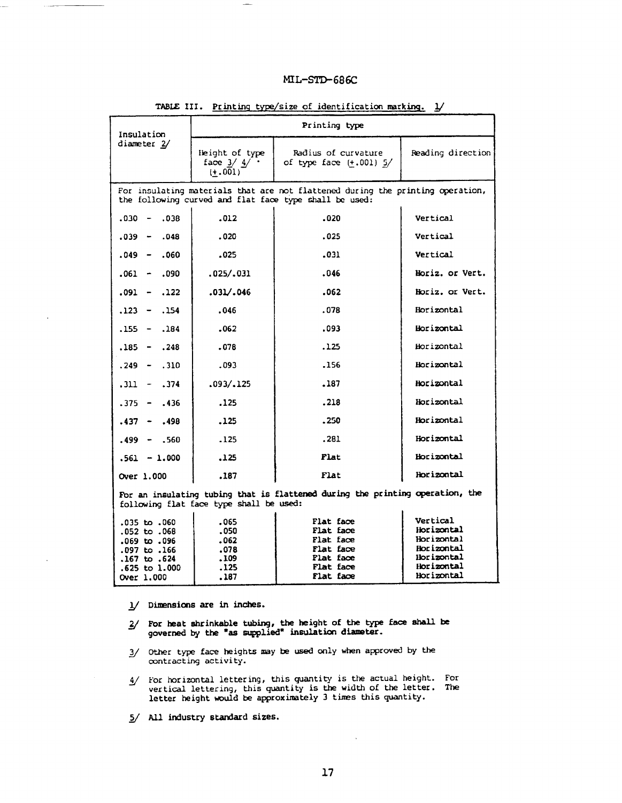| Insulation                                                                                                               |                                            | Printing type                                                                                                                            |                          |
|--------------------------------------------------------------------------------------------------------------------------|--------------------------------------------|------------------------------------------------------------------------------------------------------------------------------------------|--------------------------|
| diameter 2/                                                                                                              | leight of type<br>face $3/4/$<br>$(+.001)$ | Radius of curvature<br>of type face (+.001) 5/                                                                                           | Reading direction        |
|                                                                                                                          |                                            | For insulating materials that are not flattened during the printing operation,<br>the following curved and flat face type shall be used: |                          |
| .038<br>$.030 -$                                                                                                         | .012                                       | .020                                                                                                                                     | Vertical                 |
| $.039 - .048$                                                                                                            | .020                                       | .025                                                                                                                                     | Vertical                 |
| $.049 - .060$                                                                                                            | .025                                       | .031                                                                                                                                     | Vertical                 |
| $.061 - .090$                                                                                                            | .025/.031                                  | .046                                                                                                                                     | Horiz. or Vert.          |
| $.091 - .122$                                                                                                            | .031/.046                                  | .062                                                                                                                                     | Horiz. or Vert.          |
| $.123 - .154$                                                                                                            | .046                                       | .078                                                                                                                                     | Horizontal               |
| $.155 - .184$                                                                                                            | .062                                       | .093                                                                                                                                     | Horizontal               |
| $.185 - .248$                                                                                                            | .078                                       | .125                                                                                                                                     | Horizontal               |
| $.249 - .310$                                                                                                            | .093                                       | .156                                                                                                                                     | Horizontal               |
| $.311 - .374$                                                                                                            | .093/.125                                  | .187                                                                                                                                     | Horizontal               |
| $.375 - .436$                                                                                                            | .125                                       | .218                                                                                                                                     | Horizontal               |
| $.437 - .498$                                                                                                            | .125                                       | .250                                                                                                                                     | Horizontal               |
| $.499 - .560$                                                                                                            | .125                                       | .281                                                                                                                                     | Horizontal               |
| $.561 - 1.000$                                                                                                           | .125                                       | Flat                                                                                                                                     | Horizontal               |
| Over 1.000                                                                                                               | .187                                       | Flat                                                                                                                                     | Horizontal               |
| For an insulating tubing that is flattened during the printing operation, the<br>following flat face type shall be used: |                                            |                                                                                                                                          |                          |
| .035 to .060                                                                                                             | .065<br>.050                               | Flat face<br>Flat face                                                                                                                   | Vertical<br>Horizontal   |
| .052 to .068<br>,069 to .096                                                                                             | .062                                       | Flat face                                                                                                                                | Horizontal               |
| .097 to .166                                                                                                             | .078                                       | Flat face                                                                                                                                | Horizontal               |
| .167 to .624                                                                                                             | .109<br>.125                               | Flat face<br>Flat face                                                                                                                   | Horizontal<br>Horizontal |
| .625 to 1.000<br>Over 1.000                                                                                              | .187                                       | Flat face                                                                                                                                | Horizontal               |

#### TABLE III. Printing type/size of identification marking. 1/

 $1/$  Dimensions are in inches.

- $2/$  For heat shrinkable tubing, the height of the type face shall be governed by the "as supplied" insulation diameter.
- 3/ Other type face heights may be used only when approved by the contracting activity.
- 4/ For horizontal lettering, this quantity is the actual height. For vertical lettering, this quantity is the width of the letter. The letter height would be approximately 3 times this quantity.
- 5/ All industry standard sizes.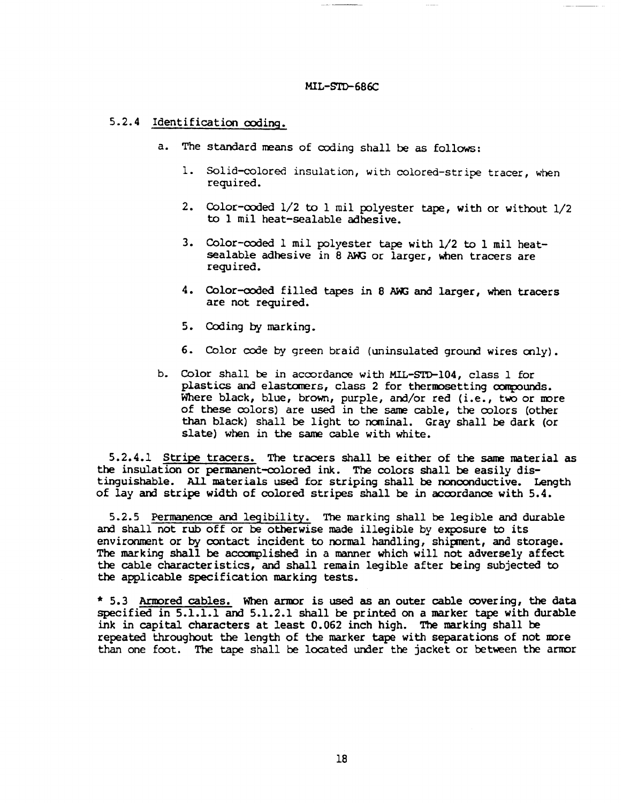## 5.2.4 Identification coding.

- a. The standard means of coding shall be as follows:
	- 1. Solid-colored insulation, with colored-stripe tracer, when required.
	- 2. Color-coded 1/2 to 1 mil polyester tape, with or without 1/2 to 1 mil heat-sealable adhesive.
	- 3. Color-coded 1 mil polyester tape with 1/2 to 1 mil heatsealable adhesive in 8 AWG or larger, when tracers are required.
	- 4. Color-coded filled tapes in 8 AWG and larger, when tracers are not required.
	- 5. Coding by marking.
	- 6. Color code by green braid (uninsulated ground wires only).
- b. Color shall be in accordance with MIL-STD-104, class 1 for plastics and elastomers, class 2 for thermosetting compounds. Where black, blue, brown, purple, and/or red (i.e., two or more of these colors) are used in the same cable, the colors (other than black) shall be light to nominal. Gray shall be dark (or slate) when in the same cable with white.

5.2.4.1 Stripe tracers. The tracers shall be either of the same material as the insulation or permanent-colored ink. The colors shall be easily distinguishable. All materials used for striping shall be nonconductive. Length of lay and stripe width of colored stripes shall be in accordance with 5.4.

5.2.5 Permanence and legibility. The marking shall be legible and durable and shall not rub off or be otherwise made illegible by exposure to its environment or by contact incident to normal handling, shipment, and storage. The marking shall be accomplished in a manner which will not adversely affect the cable characteristics, and shall remain legible after being subjected to the applicable specification marking tests.

\* 5.3 Armored cables. When armor is used as an outer cable covering, the data specified in  $5.1.1.1$  and  $5.1.2.1$  shall be printed on a marker tape with durable ink in capital characters at least  $0.062$  inch high. The marking shall be repeated throughout the length of the marker tape with separations of not more than one foot. The tape shall be located under the jacket or between the armor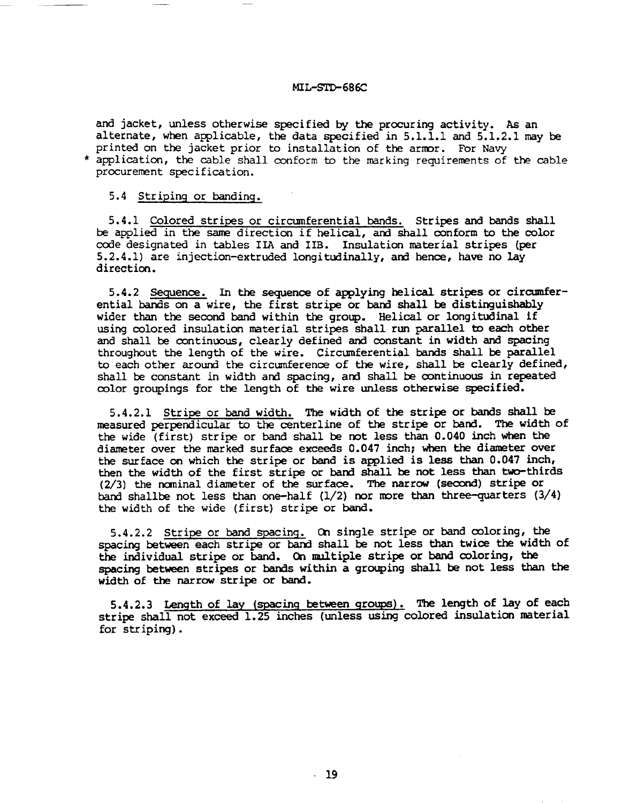and jacket, unless otherwise specified by the procuring activity. As an alternate, when applicable, the data specified in  $5.1.1.1$  and  $5.1.2.1$  may be printed on the jacket prior to installation of the armor. For Navy \* application, the cable shall conform to the marking requirements of the cable procurement specification.

#### 5.4 Striping or banding.

5.4.1 Colored stripes or circumferential bands. Stripes and bands shall be applied in the same direction if helical, and shall conform to the color code designated in tables IIA and IIB. Insulation material stripes (per 5.2.4.1) are injection-extruded longitudinally, and hence, have no lay direction.

5.4.2 Sequence. In the sequence of applying helical stripes or circumferential bands on a wire, the first stripe or band shall be distinguishably wider than the second band within the group. Helical or longitudinal if using colored insulation material stripes shall run parallel to each other and shall be continuous, clearly defined and constant in width and spacing throughout the length of the wire. Circumferential bands shall be parallel to each other around the circumference of the wire, shall be clearly defined, shall be constant in width and spacing, and shall be continuous in repeated color groupings for the length of the wire unless otherwise specified.

5.4.2.1 Stripe or band width. The width of the stripe or bands shall be measured perpendicular to the centerline of the stripe or band. The width of the wide (first) stripe or band shall be not less than 0.040 inch when the diameter over the marked surface exceeds 0.047 inch; when the diameter over the surface on which the stripe or band is applied is less than  $0.047$  inch, then the width of the first stripe or band shall be not less than two-thirds  $(2/3)$  the nominal diameter of the surface. The narrow (second) stripe or band shallbe not less than one-half  $(1/2)$  nor more than three-quarters  $(3/4)$ the width of the wide (first) stripe or band.

5.4.2.2 Stripe or band spacing. On single stripe or band coloring, the spacing between each stripe or band shall be not less than twice the width of the individual stripe or band. On multiple stripe or band coloring, the spacing between stripes or bands within a grouping shall be not less than the width of the narrow stripe or band.

5.4.2.3 Length of lay (spacing between groups). The length of lay of each stripe shall not exceed 1.25 inches (unless using colored insulation material for striping).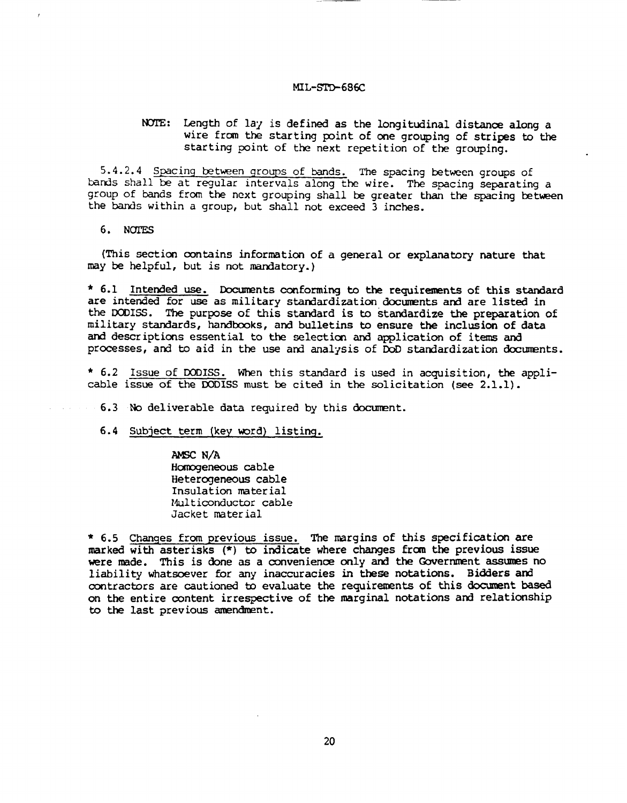## NOTE: Length of lay is defined as the longitudinal distance along a wire from the starting point of one grouping of stripes to the starting point of the next repetition of the grouping.

5.4.2.4 Spacing between groups of bands. The spacing between groups of bands shall be at regular intervals along the wire. The spacing separating a group of bands from the next grouping shall be greater than the spacing between the bands within a group, but shall not exceed 3 inches.

6. NOTES

(This section contains information of a general or explanatory nature that may be helpful, but is not mandatory.)

\* 6.1 Intended use. Documents conforming to the requirements of this standard are intended for use as military standardization documents and are listed in the DODISS. The purpose of this standard is to standardize the preparation of military standards, handbooks, and bulletins to ensure the inclusion of data and descriptions essential to the selection and application of items and processes, and to aid in the use and analysis of DoD standardization documents.

\* 6.2 Issue of DODISS. When this standard is used in acquisition, the applicable issue of the DODISS must be cited in the solicitation (see 2.1.1).

6.3 No deliverable data required by this document.

6.4 Subject term (key word) listing.

AMSC N/A Homogeneous cable Heterogeneous cable Insulation material Multiconductor cable Jacket material

\* 6.5 Changes from previous issue. The margins of this specification are marked with asterisks (\*) to indicate where changes from the previous issue were made. This is done as a convenience only and the Government assumes no liability whatsoever for any inaccuracies in these notations. Bidders and contractors are cautioned to evaluate the requirements of this document based on the entire content irrespective of the marginal notations and relationship to the last previous amendment.

20